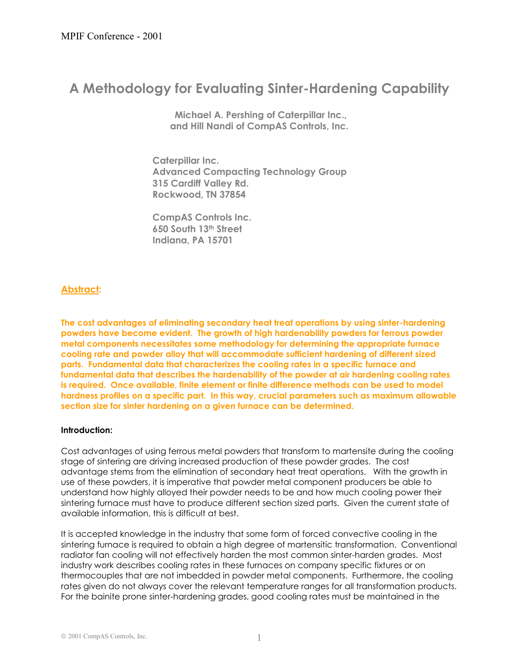# **A Methodology for Evaluating Sinter-Hardening Capability**

**Michael A. Pershing of Caterpillar Inc., and Hill Nandi of CompAS Controls, Inc.** 

 **Caterpillar Inc. Advanced Compacting Technology Group 315 Cardiff Valley Rd. Rockwood, TN 37854** 

 **CompAS Controls Inc. 650 South 13th Street Indiana, PA 15701**

# **Abstract:**

**The cost advantages of eliminating secondary heat treat operations by using sinter-hardening powders have become evident. The growth of high hardenability powders for ferrous powder metal components necessitates some methodology for determining the appropriate furnace cooling rate and powder alloy that will accommodate sufficient hardening of different sized parts. Fundamental data that characterizes the cooling rates in a specific furnace and fundamental data that describes the hardenability of the powder at air hardening cooling rates is required. Once available, finite element or finite difference methods can be used to model hardness profiles on a specific part. In this way, crucial parameters such as maximum allowable section size for sinter hardening on a given furnace can be determined.** 

## **Introduction:**

Cost advantages of using ferrous metal powders that transform to martensite during the cooling stage of sintering are driving increased production of these powder grades. The cost advantage stems from the elimination of secondary heat treat operations. With the growth in use of these powders, it is imperative that powder metal component producers be able to understand how highly alloyed their powder needs to be and how much cooling power their sintering furnace must have to produce different section sized parts. Given the current state of available information, this is difficult at best.

It is accepted knowledge in the industry that some form of forced convective cooling in the sintering furnace is required to obtain a high degree of martensitic transformation. Conventional radiator fan cooling will not effectively harden the most common sinter-harden grades. Most industry work describes cooling rates in these furnaces on company specific fixtures or on thermocouples that are not imbedded in powder metal components. Furthermore, the cooling rates given do not always cover the relevant temperature ranges for all transformation products. For the bainite prone sinter-hardening grades, good cooling rates must be maintained in the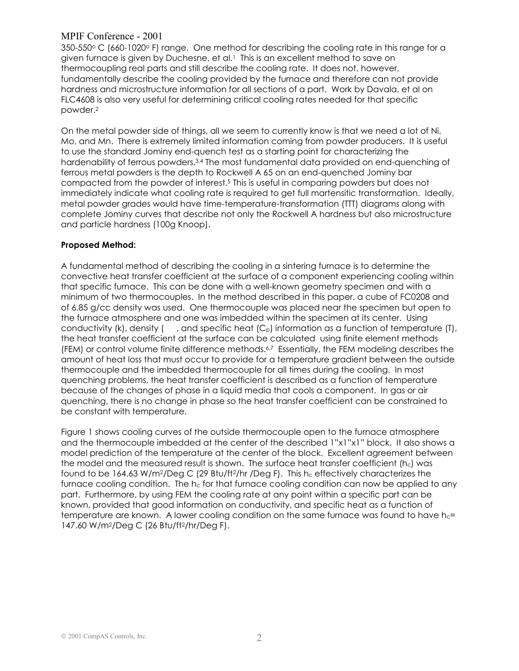$350-550^{\circ}$  C (660-1020° F) range. One method for describing the cooling rate in this range for a given furnace is given by Duchesne, et al.1 This is an excellent method to save on thermocoupling real parts and still describe the cooling rate. It does not, however, fundamentally describe the cooling provided by the furnace and therefore can not provide hardness and microstructure information for all sections of a part. Work by Davala, et al on FLC4608 is also very useful for determining critical cooling rates needed for that specific powder.2

On the metal powder side of things, all we seem to currently know is that we need a lot of Ni, Mo, and Mn. There is extremely limited information coming from powder producers. It is useful to use the standard Jominy end-quench test as a starting point for characterizing the hardenability of ferrous powders.<sup>3,4</sup> The most fundamental data provided on end-quenching of ferrous metal powders is the depth to Rockwell A 65 on an end-quenched Jominy bar compacted from the powder of interest.5 This is useful in comparing powders but does not immediately indicate what cooling rate is required to get full martensitic transformation. Ideally, metal powder grades would have time-temperature-transformation (TTT) diagrams along with complete Jominy curves that describe not only the Rockwell A hardness but also microstructure and particle hardness (100g Knoop).

## **Proposed Method:**

A fundamental method of describing the cooling in a sintering furnace is to determine the convective heat transfer coefficient at the surface of a component experiencing cooling within that specific furnace. This can be done with a well-known geometry specimen and with a minimum of two thermocouples. In the method described in this paper, a cube of FC0208 and of 6.85 g/cc density was used. One thermocouple was placed near the specimen but open to the furnace atmosphere and one was imbedded within the specimen at its center. Using conductivity (k), density ( $,$  and specific heat (C<sub>p</sub>) information as a function of temperature (T), the heat transfer coefficient at the surface can be calculated using finite element methods (FEM) or control volume finite difference methods.<sup>6,7</sup> Essentially, the FEM modeling describes the amount of heat loss that must occur to provide for a temperature gradient between the outside thermocouple and the imbedded thermocouple for all times during the cooling. In most quenching problems, the heat transfer coefficient is described as a function of temperature because of the changes of phase in a liquid media that cools a component. In gas or air quenching, there is no change in phase so the heat transfer coefficient can be constrained to be constant with temperature.

Figure 1 shows cooling curves of the outside thermocouple open to the furnace atmosphere and the thermocouple imbedded at the center of the described 1"x1"x1" block. It also shows a model prediction of the temperature at the center of the block. Excellent agreement between the model and the measured result is shown. The surface heat transfer coefficient  $(h_c)$  was found to be  $164.63$  W/m<sup>2</sup>/Deg C (29 Btu/ft<sup>2</sup>/hr /Deg F). This h<sub>c</sub> effectively characterizes the furnace cooling condition. The  $h_c$  for that furnace cooling condition can now be applied to any part. Furthermore, by using FEM the cooling rate at any point within a specific part can be known, provided that good information on conductivity, and specific heat as a function of temperature are known. A lower cooling condition on the same furnace was found to have  $h_{c}=$ 147.60 W/m2/Deg C (26 Btu/ft2/hr/Deg F).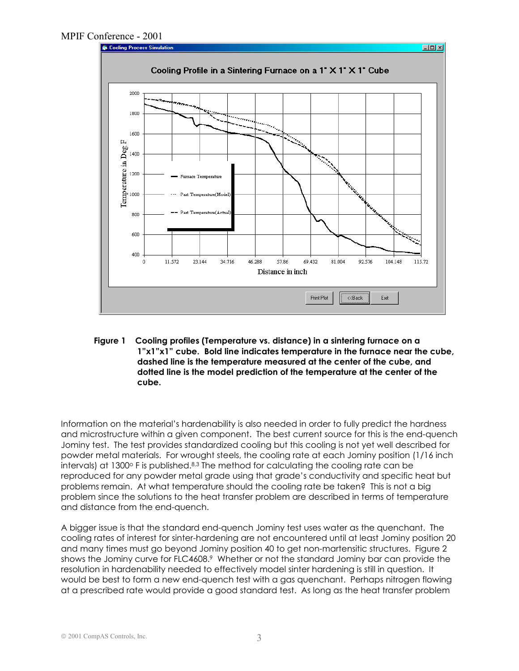

**Figure 1 Cooling profiles (Temperature vs. distance) in a sintering furnace on a 1"x1"x1" cube. Bold line indicates temperature in the furnace near the cube, dashed line is the temperature measured at the center of the cube, and dotted line is the model prediction of the temperature at the center of the cube.** 

Information on the material's hardenability is also needed in order to fully predict the hardness and microstructure within a given component. The best current source for this is the end-quench Jominy test. The test provides standardized cooling but this cooling is not yet well described for powder metal materials. For wrought steels, the cooling rate at each Jominy position (1/16 inch intervals) at 1300 $\circ$  F is published. $8,3$  The method for calculating the cooling rate can be reproduced for any powder metal grade using that grade's conductivity and specific heat but problems remain. At what temperature should the cooling rate be taken? This is not a big problem since the solutions to the heat transfer problem are described in terms of temperature and distance from the end-quench.

A bigger issue is that the standard end-quench Jominy test uses water as the quenchant. The cooling rates of interest for sinter-hardening are not encountered until at least Jominy position 20 and many times must go beyond Jominy position 40 to get non-martensitic structures. Figure 2 shows the Jominy curve for FLC4608.<sup>9</sup> Whether or not the standard Jominy bar can provide the resolution in hardenability needed to effectively model sinter hardening is still in question. It would be best to form a new end-quench test with a gas quenchant. Perhaps nitrogen flowing at a prescribed rate would provide a good standard test. As long as the heat transfer problem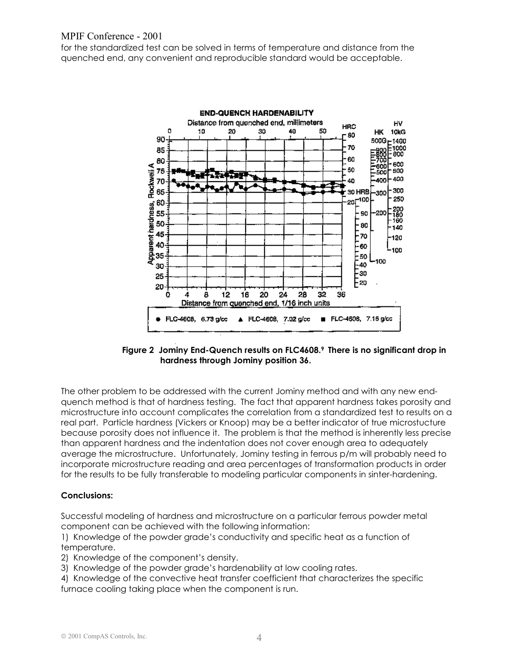for the standardized test can be solved in terms of temperature and distance from the quenched end, any convenient and reproducible standard would be acceptable.



**Figure 2 Jominy End-Quench results on FLC4608.9 There is no significant drop in hardness through Jominy position 36.** 

The other problem to be addressed with the current Jominy method and with any new endquench method is that of hardness testing. The fact that apparent hardness takes porosity and microstructure into account complicates the correlation from a standardized test to results on a real part. Particle hardness (Vickers or Knoop) may be a better indicator of true microstucture because porosity does not influence it. The problem is that the method is inherently less precise than apparent hardness and the indentation does not cover enough area to adequately average the microstructure. Unfortunately, Jominy testing in ferrous p/m will probably need to incorporate microstructure reading and area percentages of transformation products in order for the results to be fully transferable to modeling particular components in sinter-hardening.

## **Conclusions:**

Successful modeling of hardness and microstructure on a particular ferrous powder metal component can be achieved with the following information:

1) Knowledge of the powder grade's conductivity and specific heat as a function of temperature.

- 2) Knowledge of the component's density.
- 3) Knowledge of the powder grade's hardenability at low cooling rates.

4) Knowledge of the convective heat transfer coefficient that characterizes the specific furnace cooling taking place when the component is run.